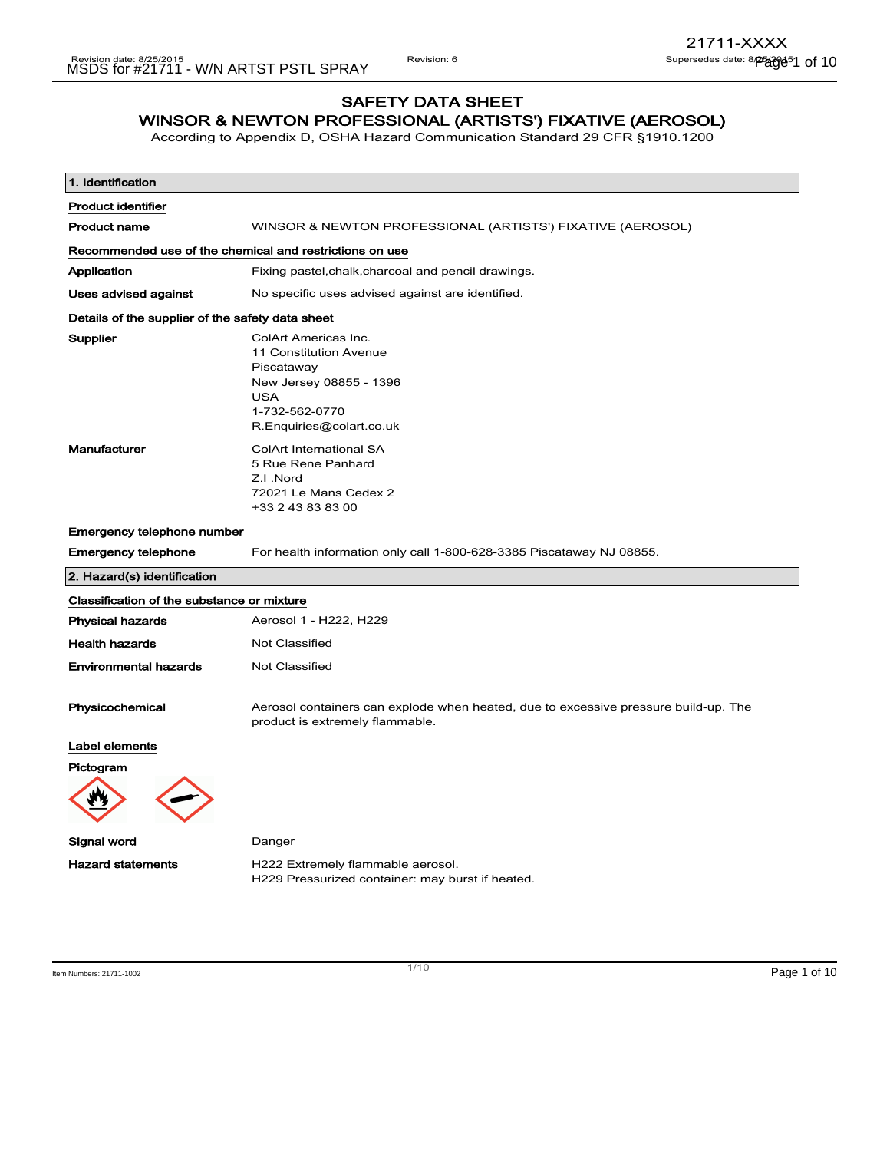## SAFETY DATA SHEET WINSOR & NEWTON PROFESSIONAL (ARTISTS') FIXATIVE (AEROSOL)

According to Appendix D, OSHA Hazard Communication Standard 29 CFR §1910.1200

| 1. Identification                                       |                                                                                                                                                     |
|---------------------------------------------------------|-----------------------------------------------------------------------------------------------------------------------------------------------------|
| <b>Product identifier</b>                               |                                                                                                                                                     |
| <b>Product name</b>                                     | WINSOR & NEWTON PROFESSIONAL (ARTISTS') FIXATIVE (AEROSOL)                                                                                          |
| Recommended use of the chemical and restrictions on use |                                                                                                                                                     |
| Application                                             | Fixing pastel, chalk, charcoal and pencil drawings.                                                                                                 |
| Uses advised against                                    | No specific uses advised against are identified.                                                                                                    |
| Details of the supplier of the safety data sheet        |                                                                                                                                                     |
| Supplier                                                | ColArt Americas Inc.<br>11 Constitution Avenue<br>Piscataway<br>New Jersey 08855 - 1396<br><b>USA</b><br>1-732-562-0770<br>R.Enquiries@colart.co.uk |
| Manufacturer                                            | ColArt International SA<br>5 Rue Rene Panhard<br>Z.I.Nord<br>72021 Le Mans Cedex 2<br>+33 2 43 83 83 00                                             |
| <b>Emergency telephone number</b>                       |                                                                                                                                                     |
| <b>Emergency telephone</b>                              | For health information only call 1-800-628-3385 Piscataway NJ 08855.                                                                                |
| 2. Hazard(s) identification                             |                                                                                                                                                     |
| Classification of the substance or mixture              |                                                                                                                                                     |
| <b>Physical hazards</b>                                 | Aerosol 1 - H222, H229                                                                                                                              |
| <b>Health hazards</b>                                   | Not Classified                                                                                                                                      |
| <b>Environmental hazards</b>                            | Not Classified                                                                                                                                      |
| Physicochemical                                         | Aerosol containers can explode when heated, due to excessive pressure build-up. The<br>product is extremely flammable.                              |
| Label elements                                          |                                                                                                                                                     |
| Pictogram                                               |                                                                                                                                                     |
| Signal word                                             | Danger                                                                                                                                              |
| <b>Hazard statements</b>                                | H222 Extremely flammable aerosol.<br>H229 Pressurized container: may burst if heated.                                                               |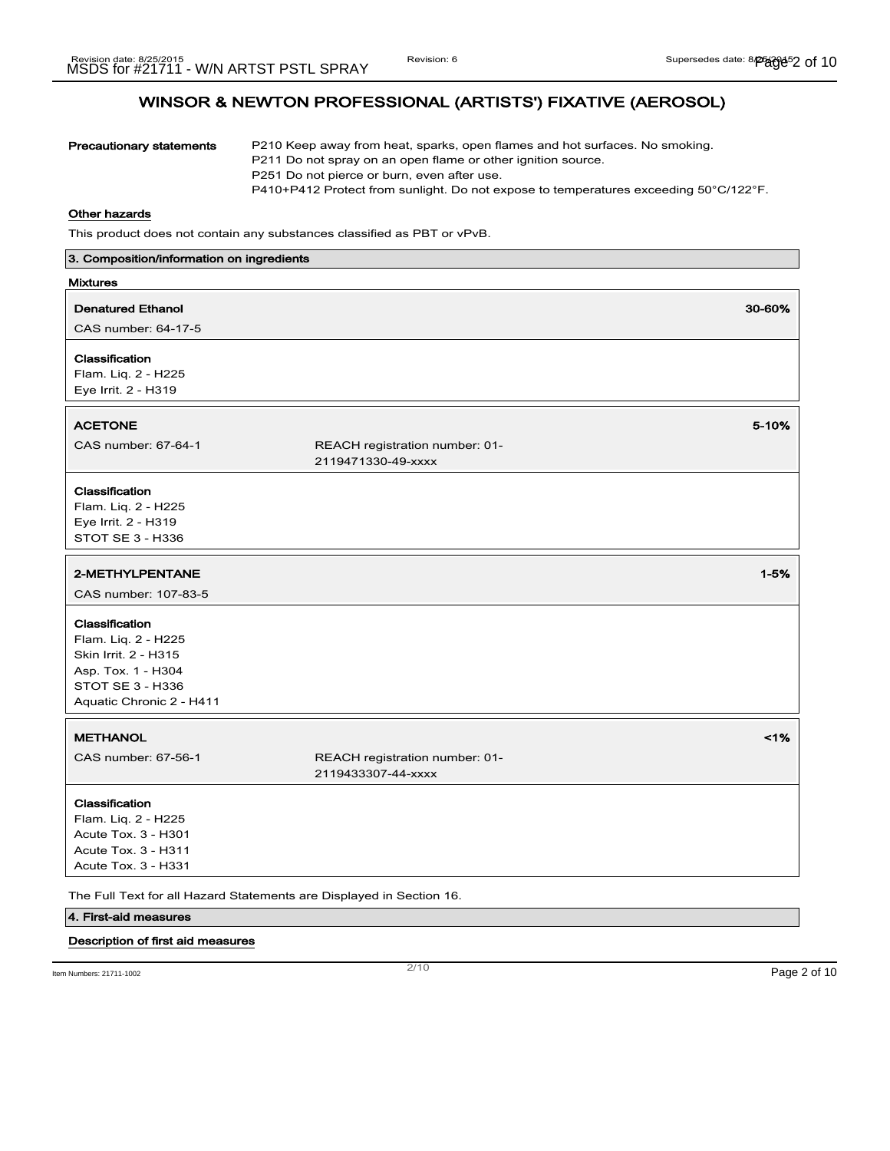| <b>Precautionary statements</b>                                                                                                            | P210 Keep away from heat, sparks, open flames and hot surfaces. No smoking.<br>P211 Do not spray on an open flame or other ignition source.<br>P251 Do not pierce or burn, even after use.<br>P410+P412 Protect from sunlight. Do not expose to temperatures exceeding 50°C/122°F. |
|--------------------------------------------------------------------------------------------------------------------------------------------|------------------------------------------------------------------------------------------------------------------------------------------------------------------------------------------------------------------------------------------------------------------------------------|
| <b>Other hazards</b>                                                                                                                       |                                                                                                                                                                                                                                                                                    |
|                                                                                                                                            | This product does not contain any substances classified as PBT or vPvB.                                                                                                                                                                                                            |
| 3. Composition/information on ingredients                                                                                                  |                                                                                                                                                                                                                                                                                    |
| <b>Mixtures</b>                                                                                                                            |                                                                                                                                                                                                                                                                                    |
| <b>Denatured Ethanol</b>                                                                                                                   | 30-60%                                                                                                                                                                                                                                                                             |
| CAS number: 64-17-5                                                                                                                        |                                                                                                                                                                                                                                                                                    |
| Classification<br>Flam. Liq. 2 - H225<br>Eye Irrit. 2 - H319                                                                               |                                                                                                                                                                                                                                                                                    |
| <b>ACETONE</b>                                                                                                                             | 5-10%                                                                                                                                                                                                                                                                              |
| CAS number: 67-64-1                                                                                                                        | REACH registration number: 01-<br>2119471330-49-xxxx                                                                                                                                                                                                                               |
| Classification<br>Flam. Liq. 2 - H225<br>Eye Irrit. 2 - H319<br><b>STOT SE 3 - H336</b>                                                    |                                                                                                                                                                                                                                                                                    |
| 2-METHYLPENTANE<br>CAS number: 107-83-5                                                                                                    | $1 - 5%$                                                                                                                                                                                                                                                                           |
| Classification<br>Flam. Liq. 2 - H225<br>Skin Irrit. 2 - H315<br>Asp. Tox. 1 - H304<br><b>STOT SE 3 - H336</b><br>Aquatic Chronic 2 - H411 |                                                                                                                                                                                                                                                                                    |
| <b>METHANOL</b>                                                                                                                            | 1%                                                                                                                                                                                                                                                                                 |
| CAS number: 67-56-1                                                                                                                        | REACH registration number: 01-<br>2119433307-44-xxxx                                                                                                                                                                                                                               |
| Classification<br>Flam. Liq. 2 - H225<br>Acute Tox. 3 - H301<br>Acute Tox. 3 - H311<br>Acute Tox. 3 - H331                                 |                                                                                                                                                                                                                                                                                    |
| 4. First-aid measures                                                                                                                      | The Full Text for all Hazard Statements are Displayed in Section 16.                                                                                                                                                                                                               |

## Description of first aid measures

Item Numbers: 21711-1002 Page 2 of 10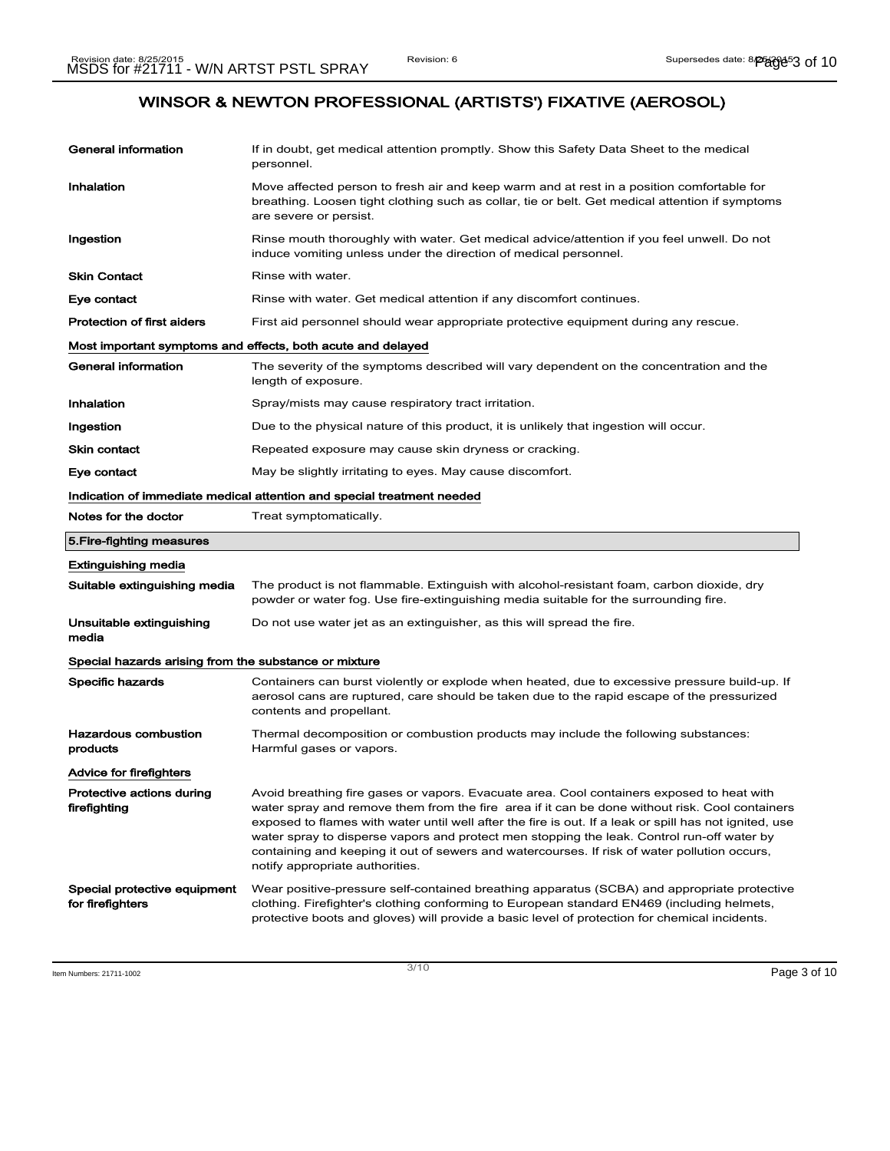| General information                                                    | If in doubt, get medical attention promptly. Show this Safety Data Sheet to the medical<br>personnel.                                                                                                                                                                                                                                                                                                                                                                                                                                  |  |
|------------------------------------------------------------------------|----------------------------------------------------------------------------------------------------------------------------------------------------------------------------------------------------------------------------------------------------------------------------------------------------------------------------------------------------------------------------------------------------------------------------------------------------------------------------------------------------------------------------------------|--|
| Inhalation                                                             | Move affected person to fresh air and keep warm and at rest in a position comfortable for<br>breathing. Loosen tight clothing such as collar, tie or belt. Get medical attention if symptoms<br>are severe or persist.                                                                                                                                                                                                                                                                                                                 |  |
| Ingestion                                                              | Rinse mouth thoroughly with water. Get medical advice/attention if you feel unwell. Do not<br>induce vomiting unless under the direction of medical personnel.                                                                                                                                                                                                                                                                                                                                                                         |  |
| <b>Skin Contact</b>                                                    | Rinse with water.                                                                                                                                                                                                                                                                                                                                                                                                                                                                                                                      |  |
| Eye contact                                                            | Rinse with water. Get medical attention if any discomfort continues.                                                                                                                                                                                                                                                                                                                                                                                                                                                                   |  |
| <b>Protection of first aiders</b>                                      | First aid personnel should wear appropriate protective equipment during any rescue.                                                                                                                                                                                                                                                                                                                                                                                                                                                    |  |
| Most important symptoms and effects, both acute and delayed            |                                                                                                                                                                                                                                                                                                                                                                                                                                                                                                                                        |  |
| General information                                                    | The severity of the symptoms described will vary dependent on the concentration and the<br>length of exposure.                                                                                                                                                                                                                                                                                                                                                                                                                         |  |
| Inhalation                                                             | Spray/mists may cause respiratory tract irritation.                                                                                                                                                                                                                                                                                                                                                                                                                                                                                    |  |
| Ingestion                                                              | Due to the physical nature of this product, it is unlikely that ingestion will occur.                                                                                                                                                                                                                                                                                                                                                                                                                                                  |  |
| Skin contact                                                           | Repeated exposure may cause skin dryness or cracking.                                                                                                                                                                                                                                                                                                                                                                                                                                                                                  |  |
| Eye contact                                                            | May be slightly irritating to eyes. May cause discomfort.                                                                                                                                                                                                                                                                                                                                                                                                                                                                              |  |
| Indication of immediate medical attention and special treatment needed |                                                                                                                                                                                                                                                                                                                                                                                                                                                                                                                                        |  |
| Notes for the doctor                                                   | Treat symptomatically.                                                                                                                                                                                                                                                                                                                                                                                                                                                                                                                 |  |
|                                                                        |                                                                                                                                                                                                                                                                                                                                                                                                                                                                                                                                        |  |
| 5. Fire-fighting measures                                              |                                                                                                                                                                                                                                                                                                                                                                                                                                                                                                                                        |  |
| <b>Extinguishing media</b>                                             |                                                                                                                                                                                                                                                                                                                                                                                                                                                                                                                                        |  |
| Suitable extinguishing media                                           | The product is not flammable. Extinguish with alcohol-resistant foam, carbon dioxide, dry<br>powder or water fog. Use fire-extinguishing media suitable for the surrounding fire.                                                                                                                                                                                                                                                                                                                                                      |  |
| Unsuitable extinguishing<br>media                                      | Do not use water jet as an extinguisher, as this will spread the fire.                                                                                                                                                                                                                                                                                                                                                                                                                                                                 |  |
| Special hazards arising from the substance or mixture                  |                                                                                                                                                                                                                                                                                                                                                                                                                                                                                                                                        |  |
| Specific hazards                                                       | Containers can burst violently or explode when heated, due to excessive pressure build-up. If<br>aerosol cans are ruptured, care should be taken due to the rapid escape of the pressurized<br>contents and propellant.                                                                                                                                                                                                                                                                                                                |  |
| <b>Hazardous combustion</b><br>products                                | Thermal decomposition or combustion products may include the following substances:<br>Harmful gases or vapors.                                                                                                                                                                                                                                                                                                                                                                                                                         |  |
| Advice for firefighters                                                |                                                                                                                                                                                                                                                                                                                                                                                                                                                                                                                                        |  |
| Protective actions during<br>firefighting                              | Avoid breathing fire gases or vapors. Evacuate area. Cool containers exposed to heat with<br>water spray and remove them from the fire area if it can be done without risk. Cool containers<br>exposed to flames with water until well after the fire is out. If a leak or spill has not ignited, use<br>water spray to disperse vapors and protect men stopping the leak. Control run-off water by<br>containing and keeping it out of sewers and watercourses. If risk of water pollution occurs,<br>notify appropriate authorities. |  |

Item Numbers: 21711-1002 Page 3 of 10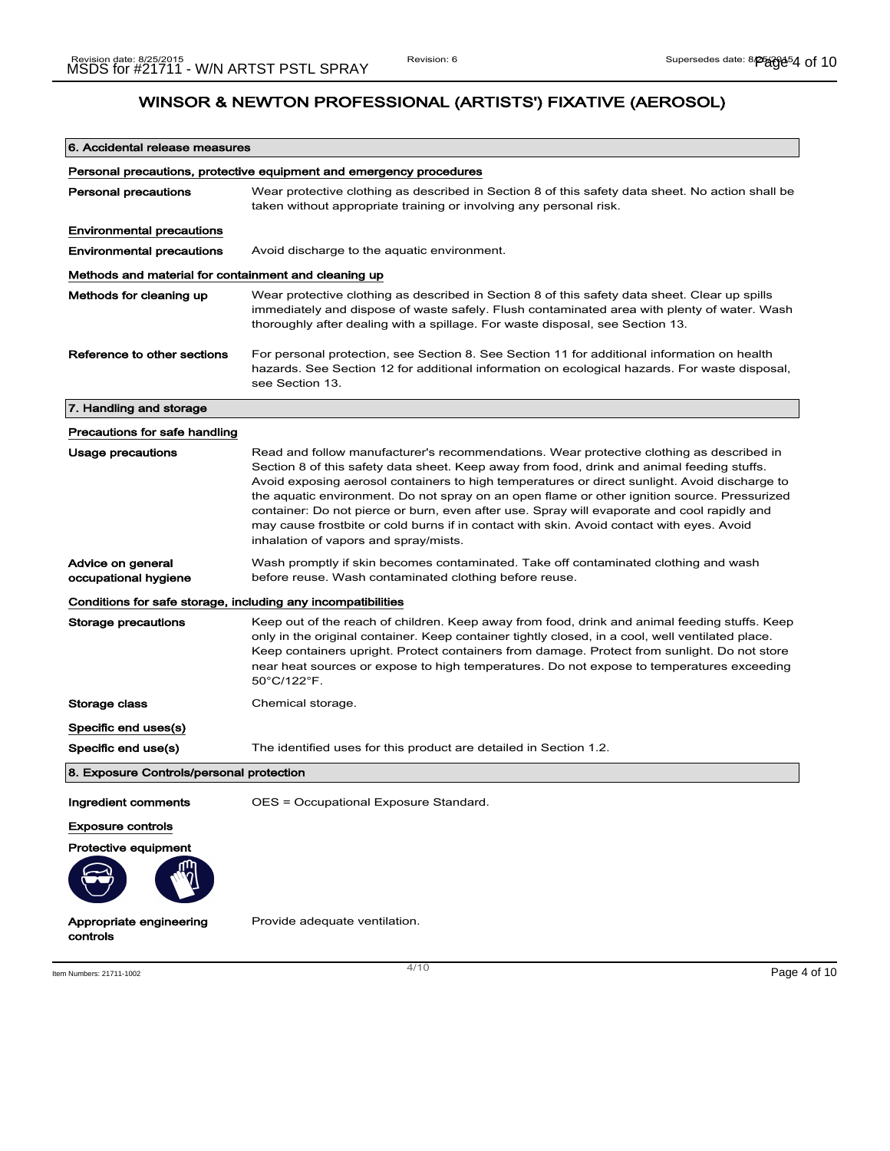| 6. Accidental release measures                                      |                                                                                                                                                                                                                                                                                                                                                                                                                                                                                                                                                                                                                              |
|---------------------------------------------------------------------|------------------------------------------------------------------------------------------------------------------------------------------------------------------------------------------------------------------------------------------------------------------------------------------------------------------------------------------------------------------------------------------------------------------------------------------------------------------------------------------------------------------------------------------------------------------------------------------------------------------------------|
| Personal precautions, protective equipment and emergency procedures |                                                                                                                                                                                                                                                                                                                                                                                                                                                                                                                                                                                                                              |
| <b>Personal precautions</b>                                         | Wear protective clothing as described in Section 8 of this safety data sheet. No action shall be<br>taken without appropriate training or involving any personal risk.                                                                                                                                                                                                                                                                                                                                                                                                                                                       |
| <b>Environmental precautions</b>                                    |                                                                                                                                                                                                                                                                                                                                                                                                                                                                                                                                                                                                                              |
| <b>Environmental precautions</b>                                    | Avoid discharge to the aquatic environment.                                                                                                                                                                                                                                                                                                                                                                                                                                                                                                                                                                                  |
| Methods and material for containment and cleaning up                |                                                                                                                                                                                                                                                                                                                                                                                                                                                                                                                                                                                                                              |
| Methods for cleaning up                                             | Wear protective clothing as described in Section 8 of this safety data sheet. Clear up spills<br>immediately and dispose of waste safely. Flush contaminated area with plenty of water. Wash<br>thoroughly after dealing with a spillage. For waste disposal, see Section 13.                                                                                                                                                                                                                                                                                                                                                |
| Reference to other sections                                         | For personal protection, see Section 8. See Section 11 for additional information on health<br>hazards. See Section 12 for additional information on ecological hazards. For waste disposal,<br>see Section 13.                                                                                                                                                                                                                                                                                                                                                                                                              |
| 7. Handling and storage                                             |                                                                                                                                                                                                                                                                                                                                                                                                                                                                                                                                                                                                                              |
| Precautions for safe handling                                       |                                                                                                                                                                                                                                                                                                                                                                                                                                                                                                                                                                                                                              |
| <b>Usage precautions</b>                                            | Read and follow manufacturer's recommendations. Wear protective clothing as described in<br>Section 8 of this safety data sheet. Keep away from food, drink and animal feeding stuffs.<br>Avoid exposing aerosol containers to high temperatures or direct sunlight. Avoid discharge to<br>the aquatic environment. Do not spray on an open flame or other ignition source. Pressurized<br>container: Do not pierce or burn, even after use. Spray will evaporate and cool rapidly and<br>may cause frostbite or cold burns if in contact with skin. Avoid contact with eyes. Avoid<br>inhalation of vapors and spray/mists. |
| Advice on general<br>occupational hygiene                           | Wash promptly if skin becomes contaminated. Take off contaminated clothing and wash<br>before reuse. Wash contaminated clothing before reuse.                                                                                                                                                                                                                                                                                                                                                                                                                                                                                |
| Conditions for safe storage, including any incompatibilities        |                                                                                                                                                                                                                                                                                                                                                                                                                                                                                                                                                                                                                              |
| Storage precautions                                                 | Keep out of the reach of children. Keep away from food, drink and animal feeding stuffs. Keep<br>only in the original container. Keep container tightly closed, in a cool, well ventilated place.<br>Keep containers upright. Protect containers from damage. Protect from sunlight. Do not store<br>near heat sources or expose to high temperatures. Do not expose to temperatures exceeding<br>50°C/122°F.                                                                                                                                                                                                                |
| Storage class                                                       | Chemical storage.                                                                                                                                                                                                                                                                                                                                                                                                                                                                                                                                                                                                            |
| Specific end uses(s)                                                |                                                                                                                                                                                                                                                                                                                                                                                                                                                                                                                                                                                                                              |
| Specific end use(s)                                                 | The identified uses for this product are detailed in Section 1.2.                                                                                                                                                                                                                                                                                                                                                                                                                                                                                                                                                            |
| 8. Exposure Controls/personal protection                            |                                                                                                                                                                                                                                                                                                                                                                                                                                                                                                                                                                                                                              |
| Ingredient comments                                                 | OES = Occupational Exposure Standard.                                                                                                                                                                                                                                                                                                                                                                                                                                                                                                                                                                                        |
| <b>Exposure controls</b>                                            |                                                                                                                                                                                                                                                                                                                                                                                                                                                                                                                                                                                                                              |
| Protective equipment                                                |                                                                                                                                                                                                                                                                                                                                                                                                                                                                                                                                                                                                                              |
| Appropriate engineering<br>controls                                 | Provide adequate ventilation.                                                                                                                                                                                                                                                                                                                                                                                                                                                                                                                                                                                                |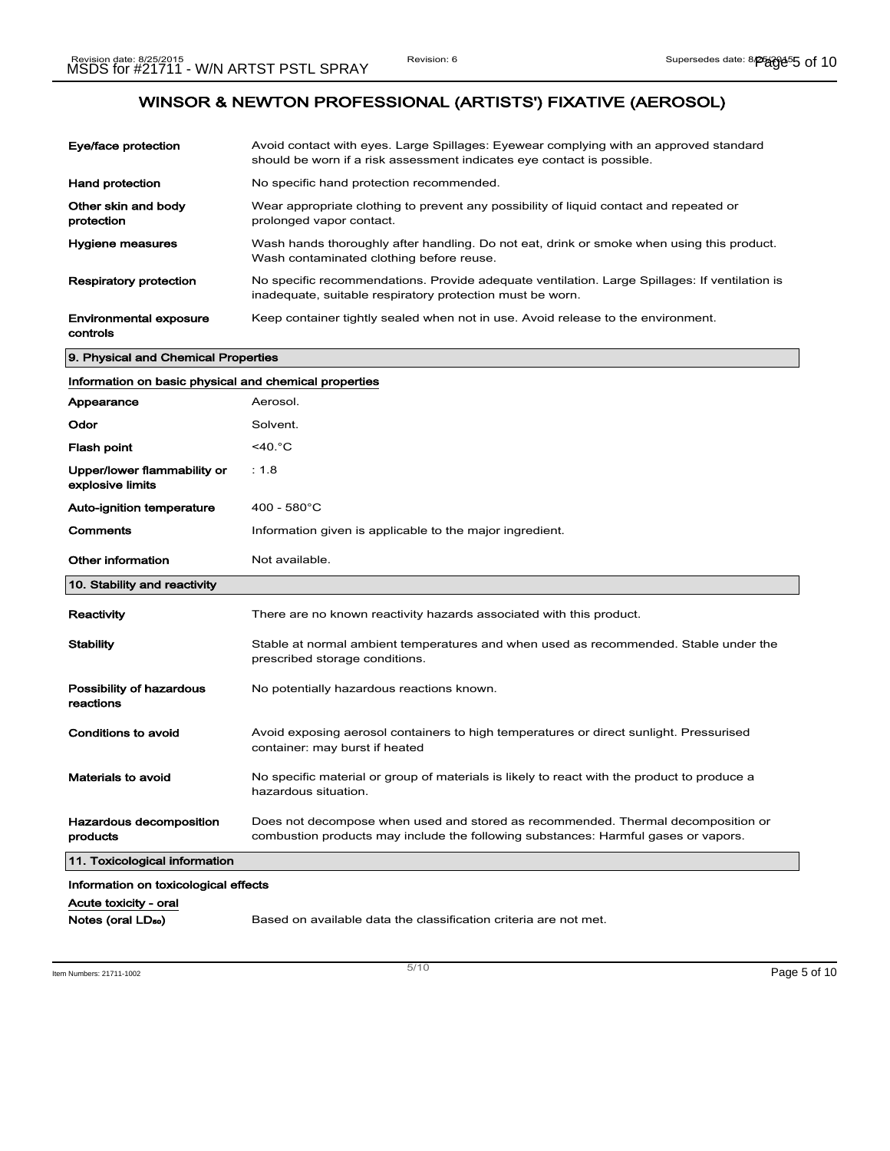| Eye/face protection                       | Avoid contact with eyes. Large Spillages: Eyewear complying with an approved standard<br>should be worn if a risk assessment indicates eye contact is possible. |
|-------------------------------------------|-----------------------------------------------------------------------------------------------------------------------------------------------------------------|
| <b>Hand protection</b>                    | No specific hand protection recommended.                                                                                                                        |
| Other skin and body<br>protection         | Wear appropriate clothing to prevent any possibility of liquid contact and repeated or<br>prolonged vapor contact.                                              |
| <b>Hygiene measures</b>                   | Wash hands thoroughly after handling. Do not eat, drink or smoke when using this product.<br>Wash contaminated clothing before reuse.                           |
| <b>Respiratory protection</b>             | No specific recommendations. Provide adequate ventilation. Large Spillages: If ventilation is<br>inadequate, suitable respiratory protection must be worn.      |
| <b>Environmental exposure</b><br>controls | Keep container tightly sealed when not in use. Avoid release to the environment.                                                                                |
| 9. Physical and Chemical Properties       |                                                                                                                                                                 |

| Information on basic physical and chemical properties |                                                                                                                                                                        |
|-------------------------------------------------------|------------------------------------------------------------------------------------------------------------------------------------------------------------------------|
| Appearance                                            | Aerosol.                                                                                                                                                               |
| Odor                                                  | Solvent.                                                                                                                                                               |
| <b>Flash point</b>                                    | $<$ 40. $°C$                                                                                                                                                           |
| Upper/lower flammability or<br>explosive limits       | : 1.8                                                                                                                                                                  |
| <b>Auto-ignition temperature</b>                      | $400 - 580^{\circ}$ C                                                                                                                                                  |
| Comments                                              | Information given is applicable to the major ingredient.                                                                                                               |
| Other information                                     | Not available.                                                                                                                                                         |
| 10. Stability and reactivity                          |                                                                                                                                                                        |
| Reactivity                                            | There are no known reactivity hazards associated with this product.                                                                                                    |
| <b>Stability</b>                                      | Stable at normal ambient temperatures and when used as recommended. Stable under the<br>prescribed storage conditions.                                                 |
| Possibility of hazardous<br>reactions                 | No potentially hazardous reactions known.                                                                                                                              |
| <b>Conditions to avoid</b>                            | Avoid exposing aerosol containers to high temperatures or direct sunlight. Pressurised<br>container: may burst if heated                                               |
| Materials to avoid                                    | No specific material or group of materials is likely to react with the product to produce a<br>hazardous situation.                                                    |
| Hazardous decomposition<br>products                   | Does not decompose when used and stored as recommended. Thermal decomposition or<br>combustion products may include the following substances: Harmful gases or vapors. |
| 11. Toxicological information                         |                                                                                                                                                                        |
| Information on toxicological effects                  |                                                                                                                                                                        |
| Acute toxicity - oral                                 |                                                                                                                                                                        |
| Notes (oral LD <sub>50</sub> )                        | Based on available data the classification criteria are not met.                                                                                                       |

Item Numbers: 21711-1002 Page 5 of 10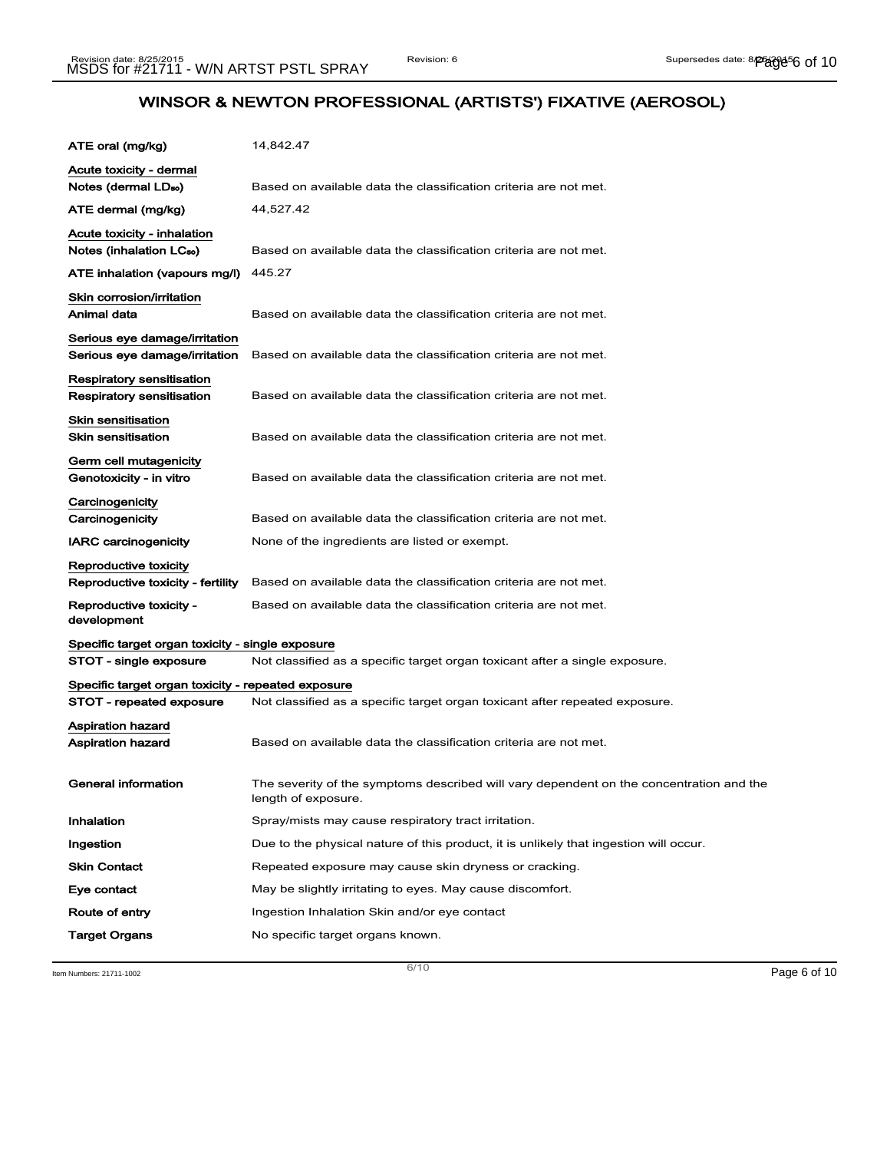| ATE oral (mg/kg)                                                           | 14,842.47                                                                                                      |
|----------------------------------------------------------------------------|----------------------------------------------------------------------------------------------------------------|
| Acute toxicity - dermal<br>Notes (dermal LD <sub>so</sub> )                | Based on available data the classification criteria are not met.                                               |
| ATE dermal (mg/kg)                                                         | 44,527.42                                                                                                      |
| <b>Acute toxicity - inhalation</b><br>Notes (inhalation LC <sub>50</sub> ) | Based on available data the classification criteria are not met.                                               |
| ATE inhalation (vapours mg/l)                                              | 445.27                                                                                                         |
| Skin corrosion/irritation<br>Animal data                                   | Based on available data the classification criteria are not met.                                               |
| Serious eye damage/irritation<br>Serious eye damage/irritation             | Based on available data the classification criteria are not met.                                               |
| Respiratory sensitisation<br>Respiratory sensitisation                     | Based on available data the classification criteria are not met.                                               |
| <b>Skin sensitisation</b><br><b>Skin sensitisation</b>                     | Based on available data the classification criteria are not met.                                               |
| Germ cell mutagenicity<br>Genotoxicity - in vitro                          | Based on available data the classification criteria are not met.                                               |
| Carcinogenicity<br>Carcinogenicity                                         | Based on available data the classification criteria are not met.                                               |
| <b>IARC carcinogenicity</b>                                                | None of the ingredients are listed or exempt.                                                                  |
| Reproductive toxicity<br>Reproductive toxicity - fertility                 | Based on available data the classification criteria are not met.                                               |
| Reproductive toxicity -<br>development                                     | Based on available data the classification criteria are not met.                                               |
| Specific target organ toxicity - single exposure                           |                                                                                                                |
| STOT - single exposure                                                     | Not classified as a specific target organ toxicant after a single exposure.                                    |
| Specific target organ toxicity - repeated exposure                         |                                                                                                                |
| STOT - repeated exposure                                                   | Not classified as a specific target organ toxicant after repeated exposure.                                    |
| Aspiration hazard<br>Aspiration hazard                                     | Based on available data the classification criteria are not met.                                               |
| General information                                                        | The severity of the symptoms described will vary dependent on the concentration and the<br>length of exposure. |
| Inhalation                                                                 | Spray/mists may cause respiratory tract irritation.                                                            |
| Ingestion                                                                  | Due to the physical nature of this product, it is unlikely that ingestion will occur.                          |
| <b>Skin Contact</b>                                                        | Repeated exposure may cause skin dryness or cracking.                                                          |
| Eye contact                                                                | May be slightly irritating to eyes. May cause discomfort.                                                      |
| Route of entry                                                             | Ingestion Inhalation Skin and/or eye contact                                                                   |
| <b>Target Organs</b>                                                       | No specific target organs known.                                                                               |

Item Numbers: 21711-1002 Page 6 of 10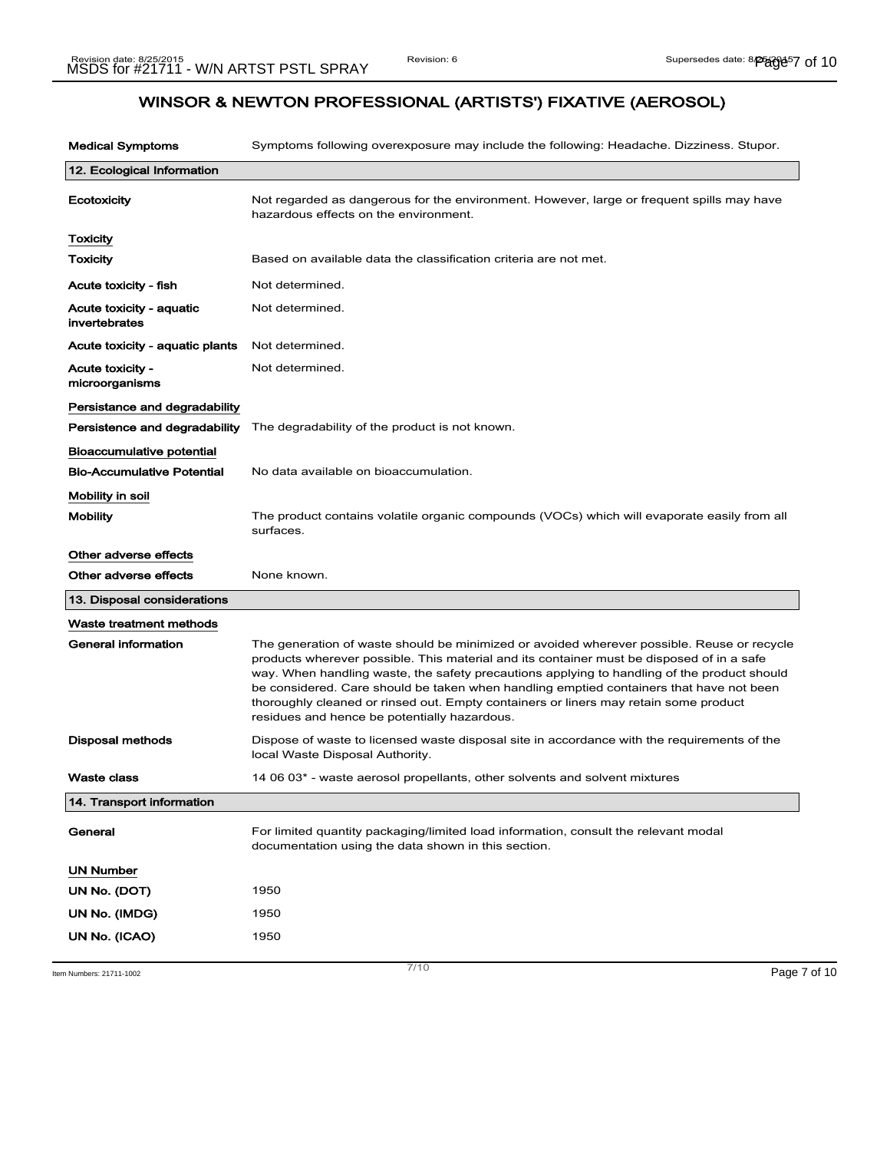| <b>Medical Symptoms</b>                   | Symptoms following overexposure may include the following: Headache. Dizziness. Stupor.                                                                                                                                                                                                                                                                                                                                                                                                                                   |
|-------------------------------------------|---------------------------------------------------------------------------------------------------------------------------------------------------------------------------------------------------------------------------------------------------------------------------------------------------------------------------------------------------------------------------------------------------------------------------------------------------------------------------------------------------------------------------|
| 12. Ecological Information                |                                                                                                                                                                                                                                                                                                                                                                                                                                                                                                                           |
| Ecotoxicity                               | Not regarded as dangerous for the environment. However, large or frequent spills may have<br>hazardous effects on the environment.                                                                                                                                                                                                                                                                                                                                                                                        |
| Toxicity                                  |                                                                                                                                                                                                                                                                                                                                                                                                                                                                                                                           |
| <b>Toxicity</b>                           | Based on available data the classification criteria are not met.                                                                                                                                                                                                                                                                                                                                                                                                                                                          |
| Acute toxicity - fish                     | Not determined.                                                                                                                                                                                                                                                                                                                                                                                                                                                                                                           |
| Acute toxicity - aquatic<br>invertebrates | Not determined.                                                                                                                                                                                                                                                                                                                                                                                                                                                                                                           |
| Acute toxicity - aquatic plants           | Not determined.                                                                                                                                                                                                                                                                                                                                                                                                                                                                                                           |
| Acute toxicity -<br>microorganisms        | Not determined.                                                                                                                                                                                                                                                                                                                                                                                                                                                                                                           |
| Persistance and degradability             |                                                                                                                                                                                                                                                                                                                                                                                                                                                                                                                           |
| Persistence and degradability             | The degradability of the product is not known.                                                                                                                                                                                                                                                                                                                                                                                                                                                                            |
| Bioaccumulative potential                 |                                                                                                                                                                                                                                                                                                                                                                                                                                                                                                                           |
| <b>Bio-Accumulative Potential</b>         | No data available on bioaccumulation.                                                                                                                                                                                                                                                                                                                                                                                                                                                                                     |
| Mobility in soil                          |                                                                                                                                                                                                                                                                                                                                                                                                                                                                                                                           |
| <b>Mobility</b>                           | The product contains volatile organic compounds (VOCs) which will evaporate easily from all<br>surfaces.                                                                                                                                                                                                                                                                                                                                                                                                                  |
| Other adverse effects                     |                                                                                                                                                                                                                                                                                                                                                                                                                                                                                                                           |
| Other adverse effects                     | None known.                                                                                                                                                                                                                                                                                                                                                                                                                                                                                                               |
| 13. Disposal considerations               |                                                                                                                                                                                                                                                                                                                                                                                                                                                                                                                           |
| Waste treatment methods                   |                                                                                                                                                                                                                                                                                                                                                                                                                                                                                                                           |
| General information                       | The generation of waste should be minimized or avoided wherever possible. Reuse or recycle<br>products wherever possible. This material and its container must be disposed of in a safe<br>way. When handling waste, the safety precautions applying to handling of the product should<br>be considered. Care should be taken when handling emptied containers that have not been<br>thoroughly cleaned or rinsed out. Empty containers or liners may retain some product<br>residues and hence be potentially hazardous. |
| Disposal methods                          | Dispose of waste to licensed waste disposal site in accordance with the requirements of the<br>local Waste Disposal Authority.                                                                                                                                                                                                                                                                                                                                                                                            |
| <b>Waste class</b>                        | 14 06 03* - waste aerosol propellants, other solvents and solvent mixtures                                                                                                                                                                                                                                                                                                                                                                                                                                                |
| 14. Transport information                 |                                                                                                                                                                                                                                                                                                                                                                                                                                                                                                                           |
| General                                   | For limited quantity packaging/limited load information, consult the relevant modal<br>documentation using the data shown in this section.                                                                                                                                                                                                                                                                                                                                                                                |
| UN Number                                 |                                                                                                                                                                                                                                                                                                                                                                                                                                                                                                                           |
| UN No. (DOT)                              | 1950                                                                                                                                                                                                                                                                                                                                                                                                                                                                                                                      |
| UN No. (IMDG)                             | 1950                                                                                                                                                                                                                                                                                                                                                                                                                                                                                                                      |
| UN No. (ICAO)                             | 1950                                                                                                                                                                                                                                                                                                                                                                                                                                                                                                                      |

Item Numbers: 21711-1002 Page 7 of 10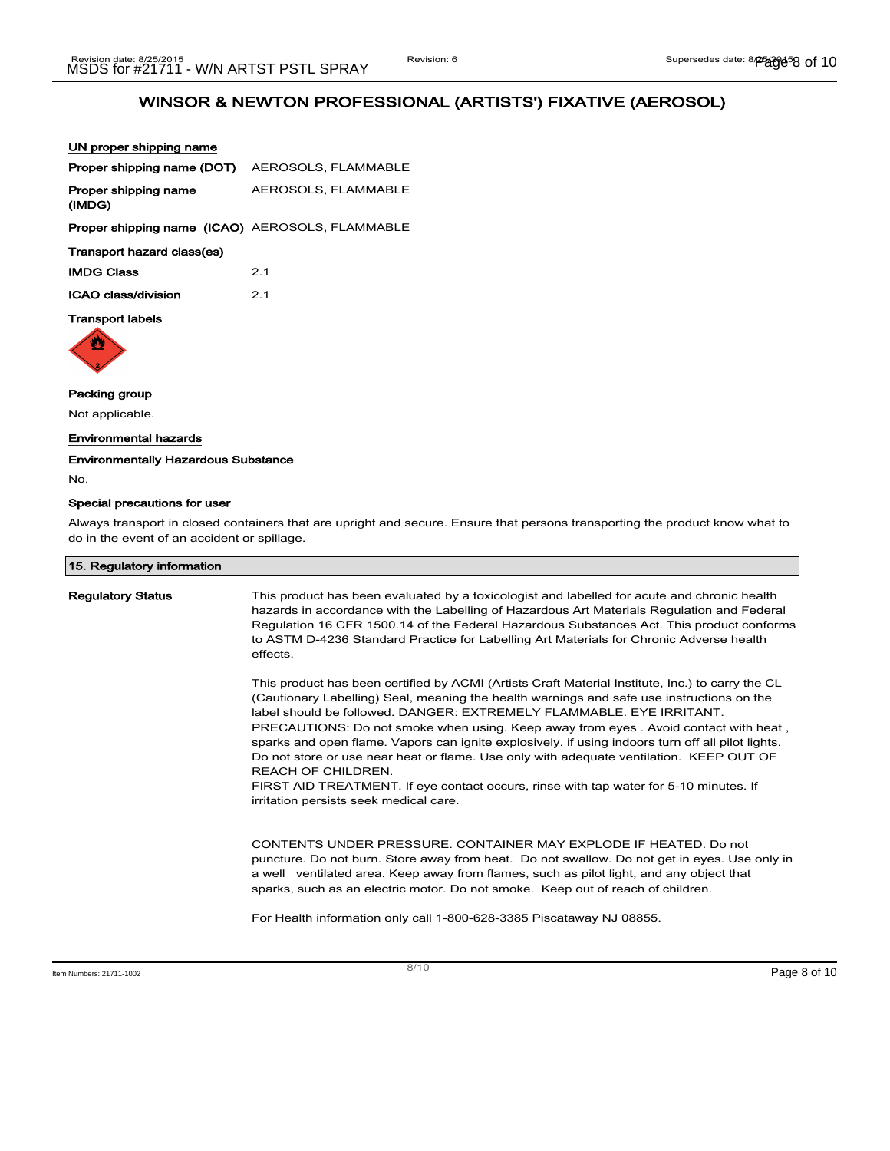UN proper shipping name

| Proper shipping name (DOT)                             | AEROSOLS, FLAMMABLE |
|--------------------------------------------------------|---------------------|
| Proper shipping name<br>(IMDG)                         | AEROSOLS, FLAMMABLE |
| <b>Proper shipping name (ICAO) AEROSOLS, FLAMMABLE</b> |                     |
| Transport hazard class(es)                             |                     |
| <b>IMDG Class</b>                                      | 2.1                 |
| ICAO class/division                                    | 21                  |
| <b>Transport labels</b>                                |                     |



# Packing group

Not applicable.

### Environmental hazards

Environmentally Hazardous Substance

#### No.

## Special precautions for user

Always transport in closed containers that are upright and secure. Ensure that persons transporting the product know what to do in the event of an accident or spillage.

| 15. Regulatory information |                                                                                                                                                                                                                                                                                                                                                                                                                                                                                                                                                                                                                                                                                                                               |
|----------------------------|-------------------------------------------------------------------------------------------------------------------------------------------------------------------------------------------------------------------------------------------------------------------------------------------------------------------------------------------------------------------------------------------------------------------------------------------------------------------------------------------------------------------------------------------------------------------------------------------------------------------------------------------------------------------------------------------------------------------------------|
| <b>Regulatory Status</b>   | This product has been evaluated by a toxicologist and labelled for acute and chronic health<br>hazards in accordance with the Labelling of Hazardous Art Materials Regulation and Federal<br>Regulation 16 CFR 1500.14 of the Federal Hazardous Substances Act. This product conforms<br>to ASTM D-4236 Standard Practice for Labelling Art Materials for Chronic Adverse health<br>effects.                                                                                                                                                                                                                                                                                                                                  |
|                            | This product has been certified by ACMI (Artists Craft Material Institute, Inc.) to carry the CL<br>(Cautionary Labelling) Seal, meaning the health warnings and safe use instructions on the<br>label should be followed. DANGER: EXTREMELY FLAMMABLE. EYE IRRITANT.<br>PRECAUTIONS: Do not smoke when using. Keep away from eyes . Avoid contact with heat,<br>sparks and open flame. Vapors can ignite explosively. if using indoors turn off all pilot lights.<br>Do not store or use near heat or flame. Use only with adequate ventilation. KEEP OUT OF<br><b>REACH OF CHILDREN.</b><br>FIRST AID TREATMENT. If eye contact occurs, rinse with tap water for 5-10 minutes. If<br>irritation persists seek medical care. |
|                            | CONTENTS UNDER PRESSURE, CONTAINER MAY EXPLODE IF HEATED. Do not<br>puncture. Do not burn. Store away from heat. Do not swallow. Do not get in eyes. Use only in<br>a well ventilated area. Keep away from flames, such as pilot light, and any object that<br>sparks, such as an electric motor. Do not smoke. Keep out of reach of children.                                                                                                                                                                                                                                                                                                                                                                                |
|                            | For Health information only call 1-800-628-3385 Piscataway NJ 08855.                                                                                                                                                                                                                                                                                                                                                                                                                                                                                                                                                                                                                                                          |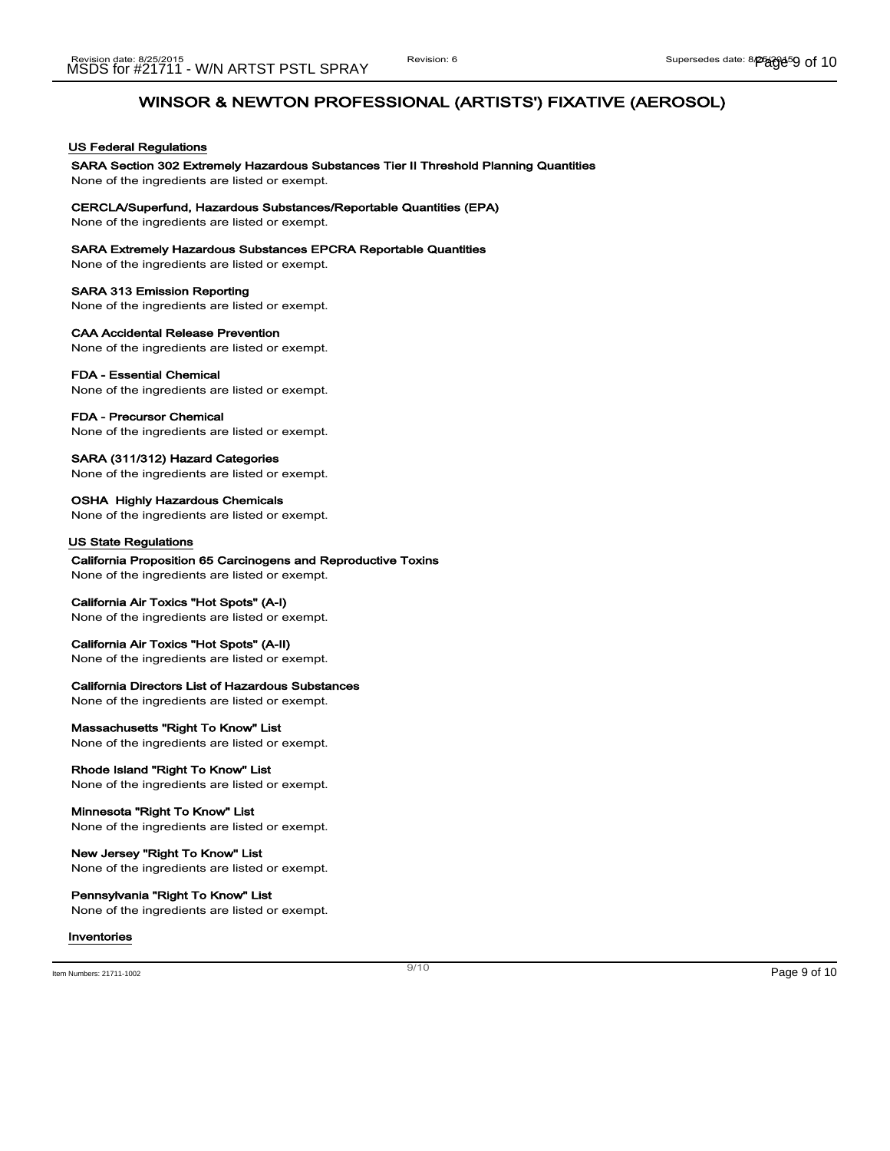### US Federal Regulations

## SARA Section 302 Extremely Hazardous Substances Tier II Threshold Planning Quantities

None of the ingredients are listed or exempt.

#### CERCLA/Superfund, Hazardous Substances/Reportable Quantities (EPA)

None of the ingredients are listed or exempt.

#### SARA Extremely Hazardous Substances EPCRA Reportable Quantities

None of the ingredients are listed or exempt.

#### SARA 313 Emission Reporting

None of the ingredients are listed or exempt.

## CAA Accidental Release Prevention

None of the ingredients are listed or exempt.

#### FDA - Essential Chemical

None of the ingredients are listed or exempt.

### FDA - Precursor Chemical

None of the ingredients are listed or exempt.

### SARA (311/312) Hazard Categories

None of the ingredients are listed or exempt.

#### OSHA Highly Hazardous Chemicals None of the ingredients are listed or exempt.

#### US State Regulations

California Proposition 65 Carcinogens and Reproductive Toxins None of the ingredients are listed or exempt.

### California Air Toxics "Hot Spots" (A-I)

None of the ingredients are listed or exempt.

### California Air Toxics "Hot Spots" (A-II)

None of the ingredients are listed or exempt.

### California Directors List of Hazardous Substances

None of the ingredients are listed or exempt.

### Massachusetts "Right To Know" List

None of the ingredients are listed or exempt.

### Rhode Island "Right To Know" List

None of the ingredients are listed or exempt.

## Minnesota "Right To Know" List

None of the ingredients are listed or exempt.

#### New Jersey "Right To Know" List None of the ingredients are listed or exempt.

## Pennsylvania "Right To Know" List

None of the ingredients are listed or exempt.

#### Inventories